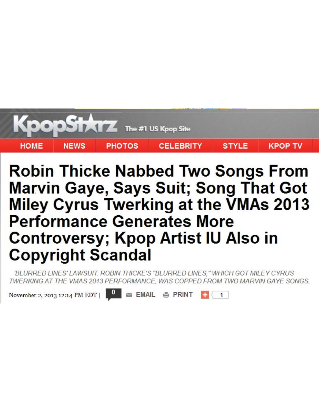

## **Robin Thicke Nabbed Two Songs From Marvin Gaye, Says Suit; Song That Got Miley Cyrus Twerking at the VMAs 2013 Performance Generates More Controversy; Kpop Artist IU Also in Copyright Scandal**

'BLURRED LINES' LAWSUIT: ROBIN THICKE'S "BLURRED LINES," WHICH GOT MILEY CYRUS TWERKING AT THE VMAS 2013 PERFORMANCE. WAS COPPED FROM TWO MARVIN GAYE SONGS.

November 2, 2013 12:14 PM EDT |

**EMAIL ● PRINT** 

 $\mathbf{1}$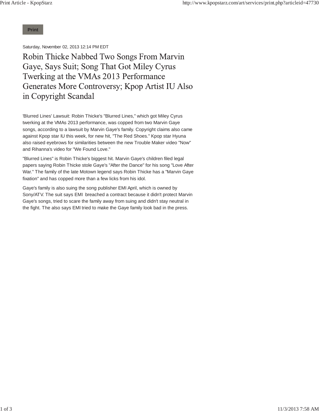**Print**

Saturday, November 02, 2013 12:14 PM EDT

Robin Thicke Nabbed Two Songs From Marvin Gaye, Says Suit; Song That Got Miley Cyrus Twerking at the VMAs 2013 Performance Generates More Controversy; Kpop Artist IU Also in Copyright Scandal

'Blurred Lines' Lawsuit: Robin Thicke's "Blurred Lines," which got Miley Cyrus twerking at the VMAs 2013 performance, was copped from two Marvin Gaye songs, according to a lawsuit by Marvin Gaye's family. Copyright claims also came against Kpop star IU this week, for new hit, "The Red Shoes." Kpop star Hyuna also raised eyebrows for similarities between the new Trouble Maker video "Now" and Rihanna's video for "We Found Love."

"Blurred Lines" is Robin Thicke's biggest hit. Marvin Gaye's children filed legal papers saying Robin Thicke stole Gaye's "After the Dance" for his song "Love After War." The family of the late Motown legend says Robin Thicke has a "Marvin Gaye fixation" and has copped more than a few licks from his idol.

Gaye's family is also suing the song publisher EMI April, which is owned by Sony/ATV. The suit says EMI breached a contract because it didn't protect Marvin Gaye's songs, tried to scare the family away from suing and didn't stay neutral in the fight. The also says EMI tried to make the Gaye family look bad in the press.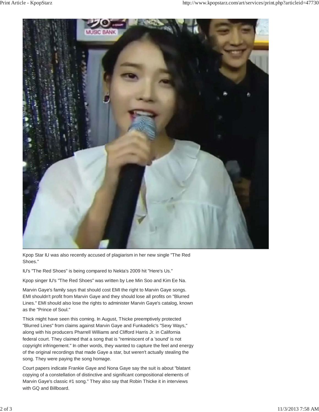

Kpop Star IU was also recently accused of plagiarism in her new single "The Red Shoes."

IU's "The Red Shoes" is being compared to Nekta's 2009 hit "Here's Us."

Kpop singer IU's "The Red Shoes" was written by Lee Min Soo and Kim Ee Na.

Marvin Gaye's family says that should cost EMI the right to Marvin Gaye songs. EMI shouldn't profit from Marvin Gaye and they should lose all profits on "Blurred Lines." EMI should also lose the rights to administer Marvin Gaye's catalog, known as the "Prince of Soul."

Thick might have seen this coming. In August, Thicke preemptively protected "Blurred Lines" from claims against Marvin Gaye and Funkadelic's "Sexy Ways," along with his producers Pharrell Williams and Clifford Harris Jr. in California federal court. They claimed that a song that is "reminiscent of a 'sound' is not copyright infringement." In other words, they wanted to capture the feel and energy of the original recordings that made Gaye a star, but weren't actually stealing the song. They were paying the song homage.

Court papers indicate Frankie Gaye and Nona Gaye say the suit is about "blatant copying of a constellation of distinctive and significant compositional elements of Marvin Gaye's classic #1 song." They also say that Robin Thicke it in interviews with GQ and Billboard.